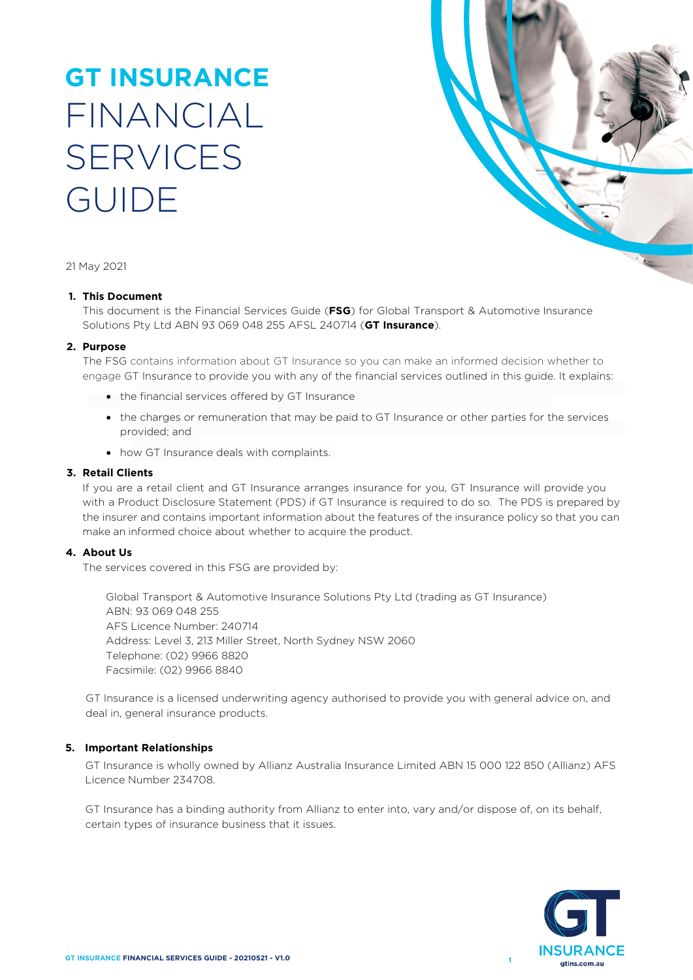# **GT INSURANCE** FINANCIAL **SERVICES** GUIDE



21 May 2021

#### **1. This Document**

This document is the Financial Services Guide (**FSG**) for Global Transport & Automotive Insurance Solutions Pty Ltd ABN 93 069 048 255 AFSL 240714 (**GT Insurance**).

#### **2. Purpose**

The FSG contains information about GT Insurance so you can make an informed decision whether to engage GT Insurance to provide you with any of the financial services outlined in this guide. It explains:

- the financial services offered by GT Insurance
- the charges or remuneration that may be paid to GT Insurance or other parties for the services provided; and
- how GT Insurance deals with complaints.

#### **3. Retail Clients**

If you are a retail client and GT Insurance arranges insurance for you, GT Insurance will provide you with a Product Disclosure Statement (PDS) if GT Insurance is required to do so. The PDS is prepared by the insurer and contains important information about the features of the insurance policy so that you can make an informed choice about whether to acquire the product.

#### **4. About Us**

The services covered in this FSG are provided by:

Global Transport & Automotive Insurance Solutions Pty Ltd (trading as GT Insurance) ABN: 93 069 048 255 AFS Licence Number: 240714 Address: Level 3, 213 Miller Street, North Sydney NSW 2060 Telephone: (02) 9966 8820 Facsimile: (02) 9966 8840

GT Insurance is a licensed underwriting agency authorised to provide you with general advice on, and deal in, general insurance products.

#### **5. Important Relationships**

GT Insurance is wholly owned by Allianz Australia Insurance Limited ABN 15 000 122 850 (Allianz) AFS Licence Number 234708.

GT Insurance has a binding authority from Allianz to enter into, vary and/or dispose of, on its behalf, certain types of insurance business that it issues.

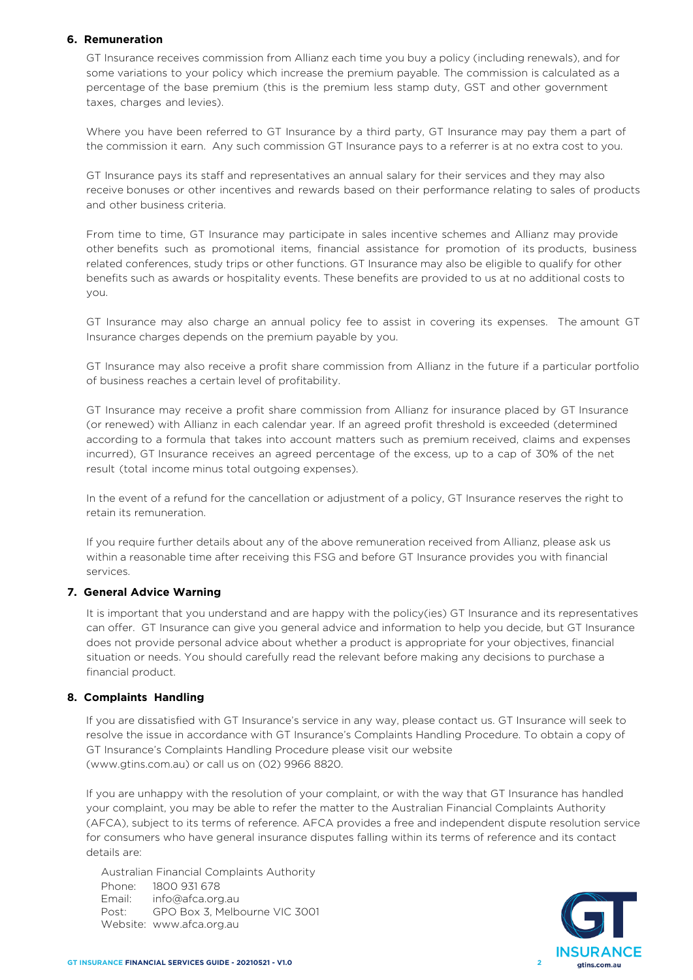## **6. Remuneration**

GT Insurance receives commission from Allianz each time you buy a policy (including renewals), and for some variations to your policy which increase the premium payable. The commission is calculated as a percentage of the base premium (this is the premium less stamp duty, GST and other government taxes, charges and levies).

Where you have been referred to GT Insurance by a third party, GT Insurance may pay them a part of the commission it earn. Any such commission GT Insurance pays to a referrer is at no extra cost to you.

GT Insurance pays its staff and representatives an annual salary for their services and they may also receive bonuses or other incentives and rewards based on their performance relating to sales of products and other business criteria.

From time to time, GT Insurance may participate in sales incentive schemes and Allianz may provide other benefits such as promotional items, financial assistance for promotion of its products, business related conferences, study trips or other functions. GT Insurance may also be eligible to qualify for other benefits such as awards or hospitality events. These benefits are provided to us at no additional costs to you.

GT Insurance may also charge an annual policy fee to assist in covering its expenses. The amount GT Insurance charges depends on the premium payable by you.

GT Insurance may also receive a profit share commission from Allianz in the future if a particular portfolio of business reaches a certain level of profitability.

GT Insurance may receive a profit share commission from Allianz for insurance placed by GT Insurance (or renewed) with Allianz in each calendar year. If an agreed profit threshold is exceeded (determined according to a formula that takes into account matters such as premium received, claims and expenses incurred), GT Insurance receives an agreed percentage of the excess, up to a cap of 30% of the net result (total income minus total outgoing expenses).

In the event of a refund for the cancellation or adjustment of a policy, GT Insurance reserves the right to retain its remuneration.

If you require further details about any of the above remuneration received from Allianz, please ask us within a reasonable time after receiving this FSG and before GT Insurance provides you with financial services.

### **7. General Advice Warning**

It is important that you understand and are happy with the policy(ies) GT Insurance and its representatives can offer. GT Insurance can give you general advice and information to help you decide, but GT Insurance does not provide personal advice about whether a product is appropriate for your objectives, financial situation or needs. You should carefully read the relevant before making any decisions to purchase a financial product.

#### **8. Complaints Handling**

If you are dissatisfied with GT Insurance's service in any way, please contact us. GT Insurance will seek to resolve the issue in accordance with GT Insurance's Complaints Handling Procedure. To obtain a copy of GT Insurance's Complaints Handling Procedure please visit our website (www.gtins.com.au) or call us on (02) 9966 8820.

If you are unhappy with the resolution of your complaint, or with the way that GT Insurance has handled your complaint, you may be able to refer the matter to the Australian Financial Complaints Authority (AFCA), subject to its terms of reference. AFCA provides a free and independent dispute resolution service for consumers who have general insurance disputes falling within its terms of reference and its contact details are:

Australian Financial Complaints Authority Phone: 1800 931 678 Email: info@afca.org.au Post: Website: www.afca.org.au GPO Box 3, Melbourne VIC 3001